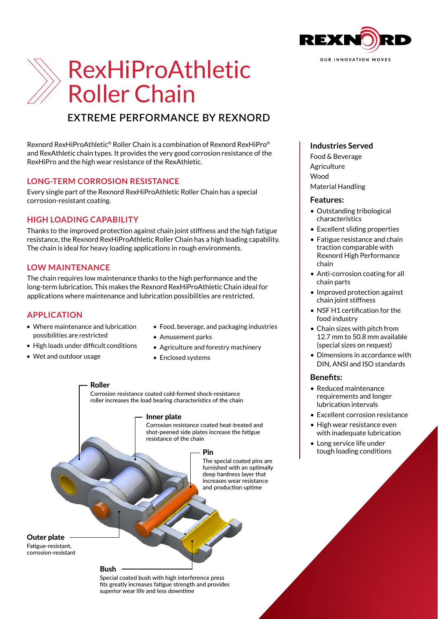

# RexHiProAthletic Roller Chain

## **EXTREME PERFORMANCE BY REXNORD**

Rexnord RexHiProAthletic® Roller Chain is a combination of Rexnord RexHiPro® and RexAthletic chain types. It provides the very good corrosion resistance of the RexHiPro and the high wear resistance of the RexAthletic.

## **LONG-TERM CORROSION RESISTANCE**

Every single part of the Rexnord RexHiProAthletic Roller Chain has a special corrosion-resistant coating.

## **HIGH LOADING CAPABILITY**

Thanks to the improved protection against chain joint stiffness and the high fatigue resistance, the Rexnord RexHiProAthletic Roller Chain has a high loading capability. The chain is ideal for heavy loading applications in rough environments.

## **LOW MAINTENANCE**

The chain requires low maintenance thanks to the high performance and the long-term lubrication. This makes the Rexnord RexHiProAthletic Chain ideal for applications where maintenance and lubrication possibilities are restricted.

## **APPLICATION**

- Where maintenance and lubrication possibilities are restricted
- High loads under difficult conditions
- Wet and outdoor usage
- Food, beverage, and packaging industries
- Amusement parks
- Agriculture and forestry machinery
- Enclosed systems

Roller Corrosion resistance coated cold-formed shock-resistance roller increases the load bearing characteristics of the chain

#### Inner plate

Corrosion resistance coated heat-treated and shot-peened side plates increase the fatigue resistance of the chain

#### Pin

The special coated pins are furnished with an optimally deep hardness layer that increases wear resistance and production uptime

## Outer plate

Fatigue-resistant, corrosion-resistant

#### Bush

Special coated bush with high interference press fits greatly increases fatigue strength and provides superior wear life and less downtime

## **Industries Served**

Food & Beverage **Agriculture** Wood Material Handling

#### **Features:**

- Outstanding tribological characteristics
- Excellent sliding properties
- Fatigue resistance and chain traction comparable with Rexnord High Performance chain
- Anti-corrosion coating for all chain parts
- Improved protection against chain joint stiffness
- NSF H1 certification for the food industry
- Chain sizes with pitch from 12.7 mm to 50.8 mm available (special sizes on request)
- Dimensions in accordance with DIN, ANSI and ISO standards

## **Benefits:**

- Reduced maintenance requirements and longer lubrication intervals
- Excellent corrosion resistance
- High wear resistance even with inadequate lubrication
- Long service life under tough loading conditions